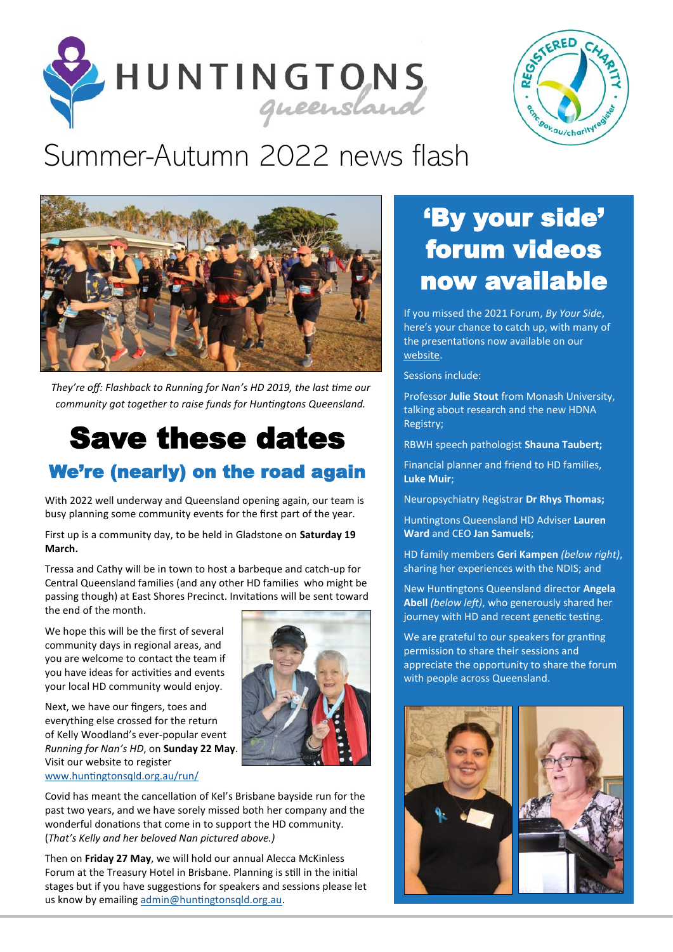



# [Summer-Autumn 2022 news flash](https://huntingtonsqld.org.au/)



*They're off: Flashback to Running for Nan's HD 2019, the last time our community got together to raise funds for Huntingtons Queensland.* 

### Save these dates We're (nearly) on the road again

With 2022 well underway and Queensland opening again, our team is busy planning some community events for the first part of the year.

First up is a community day, to be held in Gladstone on **Saturday 19 March.** 

Tressa and Cathy will be in town to host a barbeque and catch-up for Central Queensland families (and any other HD families who might be passing though) at East Shores Precinct. Invitations will be sent toward the end of the month.

We hope this will be the first of several community days in regional areas, and you are welcome to contact the team if you have ideas for activities and events your local HD community would enjoy.

Next, we have our fingers, toes and everything else crossed for the return of Kelly Woodland's ever-popular event *Running for Nan's HD*, on **Sunday 22 May**. Visit our website to register [www.huntingtonsqld.org.au/run/](https://huntingtonsqld.org.au/run/)



Covid has meant the cancellation of Kel's Brisbane bayside run for the past two years, and we have sorely missed both her company and the wonderful donations that come in to support the HD community. (*That's Kelly and her beloved Nan pictured above.)* 

Then on **Friday 27 May**, we will hold our annual Alecca McKinless Forum at the Treasury Hotel in Brisbane. Planning is still in the initial stages but if you have suggestions for speakers and sessions please let us know by emailing [admin@huntingtonsqld.org.au.](mailto:admin@huntingtonsqld.org.au)

## 'By your side' forum videos now available

If you missed the 2021 Forum, *By Your Side*, here's your chance to catch up, with many of the presentations now available on our [website.](https://huntingtonsqld.org.au/resources/forum/) 

Sessions include:

Professor **Julie Stout** from Monash University, talking about research and the new HDNA Registry;

RBWH speech pathologist **Shauna Taubert;** 

Financial planner and friend to HD families, **Luke Muir**;

Neuropsychiatry Registrar **Dr Rhys Thomas;**

Huntingtons Queensland HD Adviser **Lauren Ward** and CEO **Jan Samuels**;

HD family members **Geri Kampen** *(below right)*, sharing her experiences with the NDIS; and

New Huntingtons Queensland director **Angela Abell** *(below left)*, who generously shared her journey with HD and recent genetic testing.

We are grateful to our speakers for granting permission to share their sessions and appreciate the opportunity to share the forum with people across Queensland.